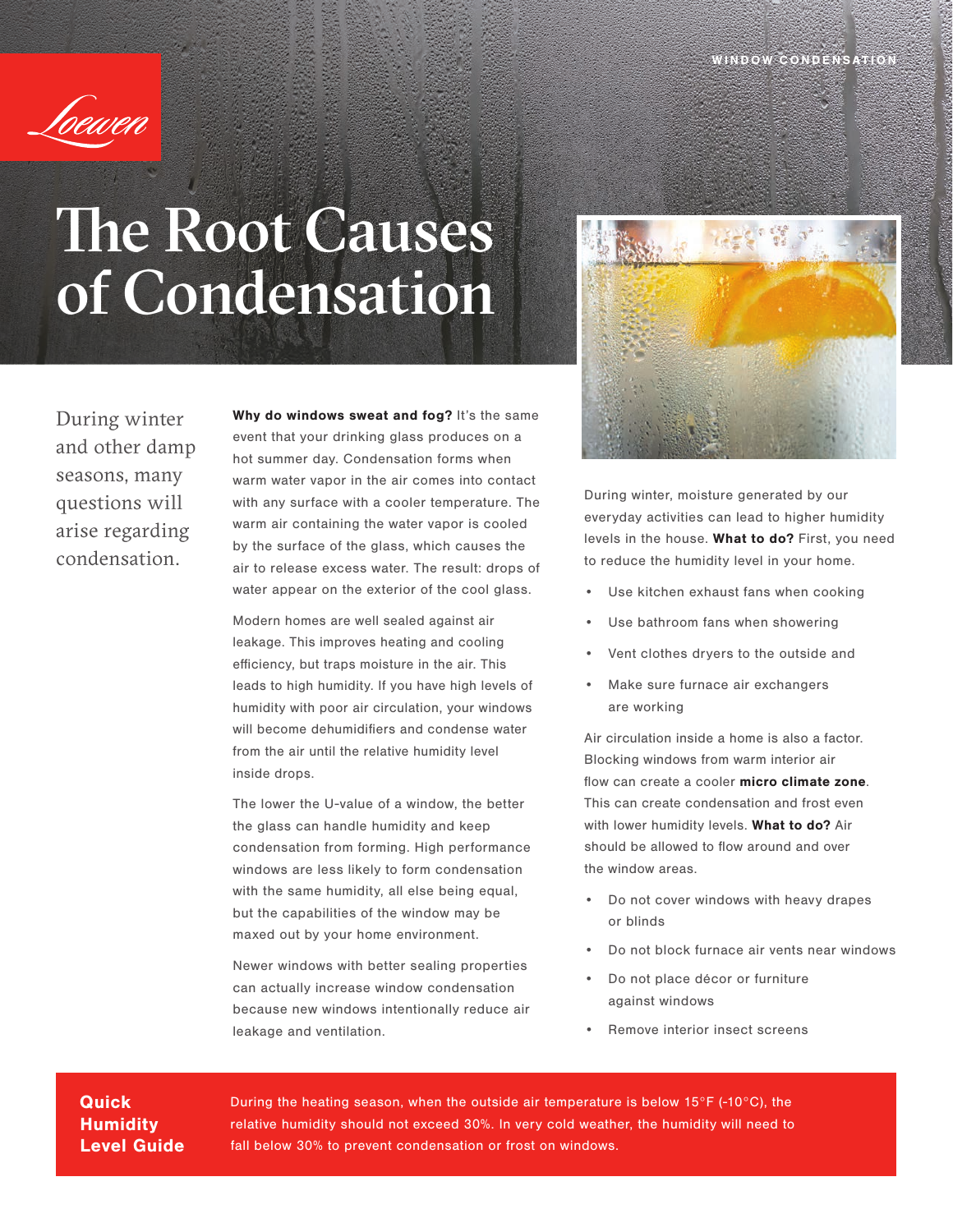

## The Root Causes of Condensation

During winter and other damp seasons, many questions will arise regarding condensation.

Why do windows sweat and fog? It's the same event that your drinking glass produces on a hot summer day. Condensation forms when warm water vapor in the air comes into contact with any surface with a cooler temperature. The warm air containing the water vapor is cooled by the surface of the glass, which causes the air to release excess water. The result: drops of water appear on the exterior of the cool glass.

Modern homes are well sealed against air leakage. This improves heating and cooling efficiency, but traps moisture in the air. This leads to high humidity. If you have high levels of humidity with poor air circulation, your windows will become dehumidifiers and condense water from the air until the relative humidity level inside drops.

The lower the U-value of a window, the better the glass can handle humidity and keep condensation from forming. High performance windows are less likely to form condensation with the same humidity, all else being equal, but the capabilities of the window may be maxed out by your home environment.

Newer windows with better sealing properties can actually increase window condensation because new windows intentionally reduce air leakage and ventilation.



During winter, moisture generated by our everyday activities can lead to higher humidity levels in the house. What to do? First, you need to reduce the humidity level in your home.

- Use kitchen exhaust fans when cooking
- Use bathroom fans when showering
- Vent clothes dryers to the outside and
- Make sure furnace air exchangers are working

Air circulation inside a home is also a factor. Blocking windows from warm interior air flow can create a cooler micro climate zone. This can create condensation and frost even with lower humidity levels. What to do? Air should be allowed to flow around and over the window areas.

- Do not cover windows with heavy drapes or blinds
- Do not block furnace air vents near windows
- Do not place décor or furniture against windows
- Remove interior insect screens

**Quick Humidity** Level Guide During the heating season, when the outside air temperature is below 15°F (-10°C), the relative humidity should not exceed 30%. In very cold weather, the humidity will need to fall below 30% to prevent condensation or frost on windows.